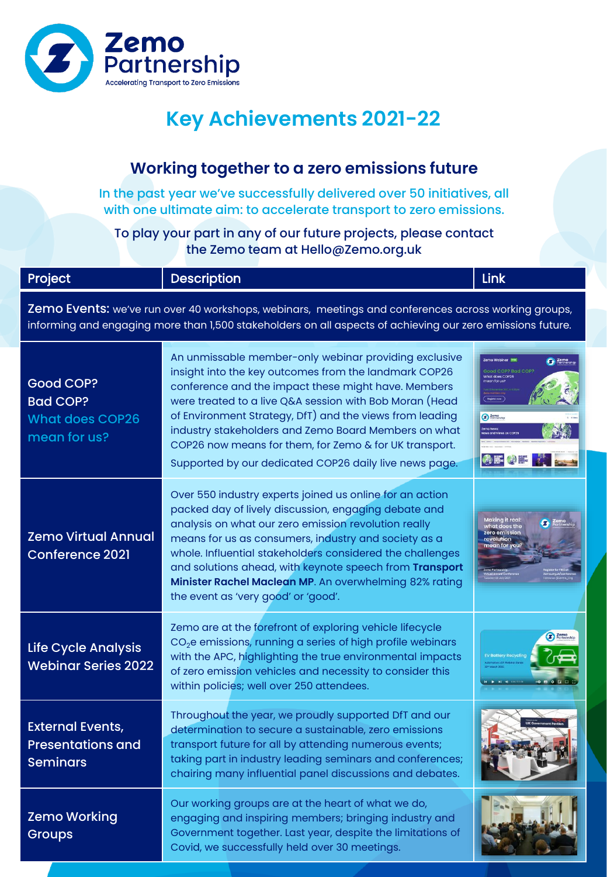

#### **Working together to a zero emissions future**

In the past year we've successfully delivered over 50 initiatives, all with one ultimate aim: to accelerate transport to zero emissions.

To play your part in any of our future projects, please contact the Zemo team at Hello@Zemo.org.uk

| Project                                                                                                                                                                                                           | <b>Description</b>                                                                                                                                                                                                                                                                                                                                                                                                                                                       | Link                                                                                              |
|-------------------------------------------------------------------------------------------------------------------------------------------------------------------------------------------------------------------|--------------------------------------------------------------------------------------------------------------------------------------------------------------------------------------------------------------------------------------------------------------------------------------------------------------------------------------------------------------------------------------------------------------------------------------------------------------------------|---------------------------------------------------------------------------------------------------|
| Zemo Events: we've run over 40 workshops, webinars, meetings and conferences across working groups,<br>informing and engaging more than 1,500 stakeholders on all aspects of achieving our zero emissions future. |                                                                                                                                                                                                                                                                                                                                                                                                                                                                          |                                                                                                   |
| <b>Good COP?</b><br><b>Bad COP?</b><br><b>What does COP26</b><br>mean for us?                                                                                                                                     | An unmissable member-only webinar providing exclusive<br>insight into the key outcomes from the landmark COP26<br>conference and the impact these might have. Members<br>were treated to a live Q&A session with Bob Moran (Head<br>of Environment Strategy, DfT) and the views from leading<br>industry stakeholders and Zemo Board Members on what<br>COP26 now means for them, for Zemo & for UK transport.<br>Supported by our dedicated COP26 daily live news page. | <b>G</b> Partners<br>hat does COP2<br>Zemo<br>Portrership<br>emo News:<br>lews and Views on COP26 |
| <b>Zemo Virtual Annual</b><br><b>Conference 2021</b>                                                                                                                                                              | Over 550 industry experts joined us online for an action<br>packed day of lively discussion, engaging debate and<br>analysis on what our zero emission revolution really<br>means for us as consumers, industry and society as a<br>whole. Influential stakeholders considered the challenges<br>and solutions ahead, with keynote speech from Transport<br>Minister Rachel Maclean MP. An overwhelming 82% rating<br>the event as 'very good' or 'good'.                | Making it real:<br>what does the<br><mark>zero emission</mark><br>revolution<br>mean for you?     |
| Life Cycle Analysis<br><b>Webinar Series 2022</b>                                                                                                                                                                 | Zemo are at the forefront of exploring vehicle lifecycle<br>$CO2e$ emissions, running a series of high profile webinars<br>with the APC, highlighting the true environmental impacts<br>of zero emission vehicles and necessity to consider this<br>within policies; well over 250 attendees.                                                                                                                                                                            | <b>Z</b> Partners                                                                                 |
| <b>External Events,</b><br><b>Presentations and</b><br><b>Seminars</b>                                                                                                                                            | Throughout the year, we proudly supported DfT and our<br>determination to secure a sustainable, zero emissions<br>transport future for all by attending numerous events;<br>taking part in industry leading seminars and conferences;<br>chairing many influential panel discussions and debates.                                                                                                                                                                        |                                                                                                   |
| <b>Zemo Working</b><br><b>Groups</b>                                                                                                                                                                              | Our working groups are at the heart of what we do,<br>engaging and inspiring members; bringing industry and<br>Government together. Last year, despite the limitations of<br>Covid, we successfully held over 30 meetings.                                                                                                                                                                                                                                               |                                                                                                   |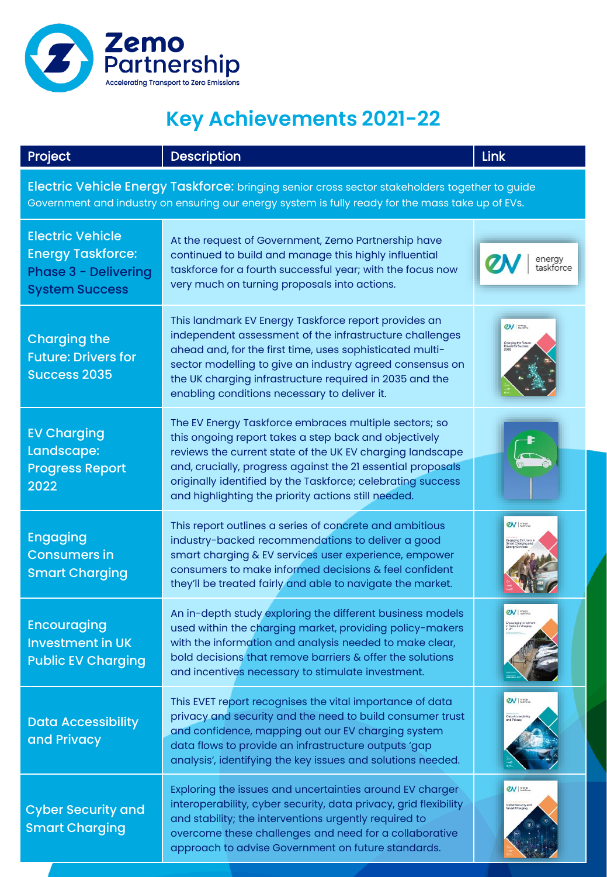

| Project                                                                                                                                                                                             | <b>Description</b>                                                                                                                                                                                                                                                                                                                                               | Link                                                                                                     |
|-----------------------------------------------------------------------------------------------------------------------------------------------------------------------------------------------------|------------------------------------------------------------------------------------------------------------------------------------------------------------------------------------------------------------------------------------------------------------------------------------------------------------------------------------------------------------------|----------------------------------------------------------------------------------------------------------|
| Electric Vehicle Energy Taskforce: bringing senior cross sector stakeholders together to guide<br>Government and industry on ensuring our energy system is fully ready for the mass take up of EVs. |                                                                                                                                                                                                                                                                                                                                                                  |                                                                                                          |
| <b>Electric Vehicle</b><br><b>Energy Taskforce:</b><br><b>Phase 3 - Delivering</b><br><b>System Success</b>                                                                                         | At the request of Government, Zemo Partnership have<br>continued to build and manage this highly influential<br>taskforce for a fourth successful year; with the focus now<br>very much on turning proposals into actions.                                                                                                                                       | energy<br>taskforce                                                                                      |
| <b>Charging the</b><br><b>Future: Drivers for</b><br><b>Success 2035</b>                                                                                                                            | This landmark EV Energy Taskforce report provides an<br>independent assessment of the infrastructure challenges<br>ahead and, for the first time, uses sophisticated multi-<br>sector modelling to give an industry agreed consensus on<br>the UK charging infrastructure required in 2035 and the<br>enabling conditions necessary to deliver it.               | 2V<br>Charging the Future<br>Drivers for Success                                                         |
| <b>EV Charging</b><br>Landscape:<br><b>Progress Report</b><br>2022                                                                                                                                  | The EV Energy Taskforce embraces multiple sectors; so<br>this ongoing report takes a step back and objectively<br>reviews the current state of the UK EV charging landscape<br>and, crucially, progress against the 21 essential proposals<br>originally identified by the Taskforce; celebrating success<br>and highlighting the priority actions still needed. |                                                                                                          |
| <b>Engaging</b><br><b>Consumers in</b><br><b>Smart Charging</b>                                                                                                                                     | This report outlines a series of concrete and ambitious<br>industry-backed recommendations to deliver a good<br>smart charging & EV services user experience, empower<br>consumers to make informed decisions & feel confident<br>they'll be treated fairly and able to navigate the market.                                                                     | 2V<br>aaging EV Users                                                                                    |
| <b>Encouraging</b><br><b>Investment in UK</b><br><b>Public EV Charging</b>                                                                                                                          | An in-depth study exploring the different business models<br>used within the charging market, providing policy-makers<br>with the information and analysis needed to make clear,<br>bold decisions that remove barriers & offer the solutions<br>and incentives necessary to stimulate investment.                                                               | $QN$ $\vert$ $\frac{\text{energy}}{\text{mass}}$<br>Encouraging Invests<br>in Public EV chargin<br>in UK |
| <b>Data Accessibility</b><br>and Privacy                                                                                                                                                            | This EVET report recognises the vital importance of data<br>privacy and security and the need to build consumer trust<br>and confidence, mapping out our EV charging system<br>data flows to provide an infrastructure outputs 'gap<br>analysis', identifying the key issues and solutions needed.                                                               | $2V$ and $2V$<br>Data Accessib<br>and Privacy                                                            |
| <b>Cyber Security and</b><br><b>Smart Charging</b>                                                                                                                                                  | Exploring the issues and uncertainties around EV charger<br>interoperability, cyber security, data privacy, grid flexibility<br>and stability; the interventions urgently required to<br>overcome these challenges and need for a collaborative<br>approach to advise Government on future standards.                                                            | $QN$ such rates<br>Cyber Security and<br>Smart Charging                                                  |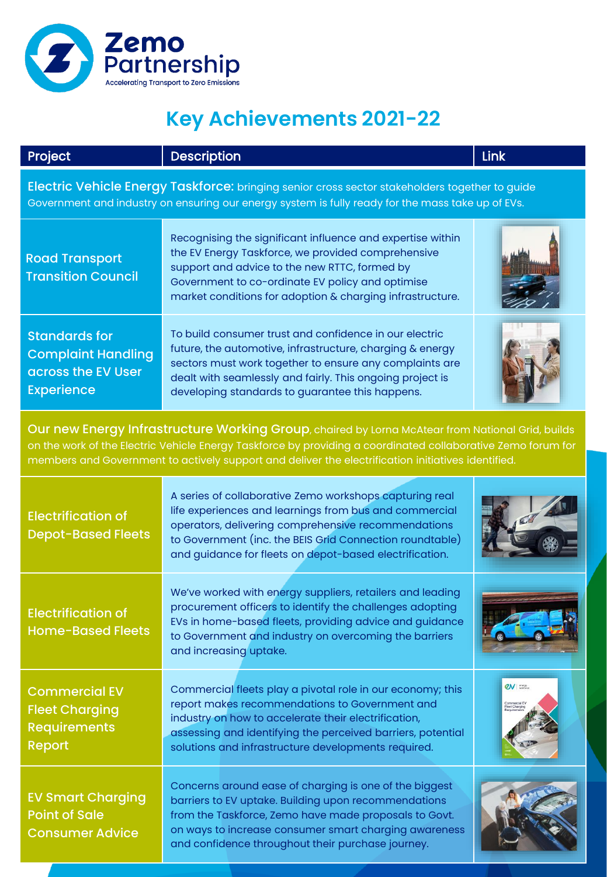

| <b>Project</b>                                                                                                                                                                                                                                                                                                         | <b>Description</b>                                                                                                                                                                                                                                                                              | Link                                                                     |  |
|------------------------------------------------------------------------------------------------------------------------------------------------------------------------------------------------------------------------------------------------------------------------------------------------------------------------|-------------------------------------------------------------------------------------------------------------------------------------------------------------------------------------------------------------------------------------------------------------------------------------------------|--------------------------------------------------------------------------|--|
| Electric Vehicle Energy Taskforce: bringing senior cross sector stakeholders together to guide<br>Government and industry on ensuring our energy system is fully ready for the mass take up of EVs.                                                                                                                    |                                                                                                                                                                                                                                                                                                 |                                                                          |  |
| <b>Road Transport</b><br><b>Transition Council</b>                                                                                                                                                                                                                                                                     | Recognising the significant influence and expertise within<br>the EV Energy Taskforce, we provided comprehensive<br>support and advice to the new RTTC, formed by<br>Government to co-ordinate EV policy and optimise<br>market conditions for adoption & charging infrastructure.              |                                                                          |  |
| <b>Standards for</b><br><b>Complaint Handling</b><br>across the EV User<br><b>Experience</b>                                                                                                                                                                                                                           | To build consumer trust and confidence in our electric<br>future, the automotive, infrastructure, charging & energy<br>sectors must work together to ensure any complaints are<br>dealt with seamlessly and fairly. This ongoing project is<br>developing standards to guarantee this happens.  |                                                                          |  |
| Our new Energy Infrastructure Working Group, chaired by Lorna McAtear from National Grid, builds<br>on the work of the Electric Vehicle Energy Taskforce by providing a coordinated collaborative Zemo forum for<br>members and Government to actively support and deliver the electrification initiatives identified. |                                                                                                                                                                                                                                                                                                 |                                                                          |  |
| <b>Electrification of</b><br><b>Depot-Based Fleets</b>                                                                                                                                                                                                                                                                 | A series of collaborative Zemo workshops capturing real<br>life experiences and learnings from bus and commercial<br>operators, delivering comprehensive recommendations<br>to Government (inc. the BEIS Grid Connection roundtable)<br>and guidance for fleets on depot-based electrification. |                                                                          |  |
| <b>Electrification of</b><br><b>Home-Based Fleets</b>                                                                                                                                                                                                                                                                  | We've worked with energy suppliers, retailers and leading<br>procurement officers to identify the challenges adopting<br>EVs in home-based fleets, providing advice and guidance<br>to Government and industry on overcoming the barriers<br>and increasing uptake.                             |                                                                          |  |
| <b>Commercial EV</b><br><b>Fleet Charging</b><br><b>Requirements</b><br><b>Report</b>                                                                                                                                                                                                                                  | Commercial fleets play a pivotal role in our economy; this<br>report makes recommendations to Government and<br>industry on how to accelerate their electrification,<br>assessing and identifying the perceived barriers, potential<br>solutions and infrastructure developments required.      | $Q$ <sub>V</sub> $\frac{1}{2}$ $\frac{1}{2}$ $\frac{1}{2}$ $\frac{1}{2}$ |  |
| <b>EV Smart Charging</b><br><b>Point of Sale</b><br><b>Consumer Advice</b>                                                                                                                                                                                                                                             | Concerns around ease of charging is one of the biggest<br>barriers to EV uptake. Building upon recommendations<br>from the Taskforce, Zemo have made proposals to Govt.<br>on ways to increase consumer smart charging awareness<br>and confidence throughout their purchase journey.           |                                                                          |  |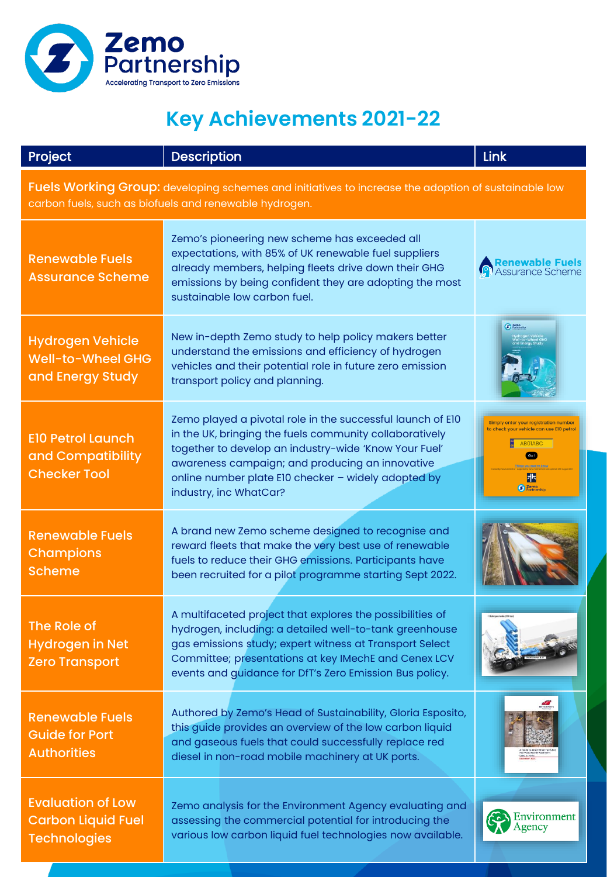

| Project                                                                                                                                                       | <b>Description</b>                                                                                                                                                                                                                                                                                                 | Link                                                                                                                                             |
|---------------------------------------------------------------------------------------------------------------------------------------------------------------|--------------------------------------------------------------------------------------------------------------------------------------------------------------------------------------------------------------------------------------------------------------------------------------------------------------------|--------------------------------------------------------------------------------------------------------------------------------------------------|
| Fuels Working Group: developing schemes and initiatives to increase the adoption of sustainable low<br>carbon fuels, such as biofuels and renewable hydrogen. |                                                                                                                                                                                                                                                                                                                    |                                                                                                                                                  |
| <b>Renewable Fuels</b><br><b>Assurance Scheme</b>                                                                                                             | Zemo's pioneering new scheme has exceeded all<br>expectations, with 85% of UK renewable fuel suppliers<br>already members, helping fleets drive down their GHG<br>emissions by being confident they are adopting the most<br>sustainable low carbon fuel.                                                          | <b>Renewable Fuels</b><br><b>Assurance Scheme</b>                                                                                                |
| <b>Hydrogen Vehicle</b><br>Well-to-Wheel GHG<br>and Energy Study                                                                                              | New in-depth Zemo study to help policy makers better<br>understand the emissions and efficiency of hydrogen<br>vehicles and their potential role in future zero emission<br>transport policy and planning.                                                                                                         | <b>3</b> Fortness                                                                                                                                |
| <b>E10 Petrol Launch</b><br>and Compatibility<br><b>Checker Tool</b>                                                                                          | Zemo played a pivotal role in the successful launch of E10<br>in the UK, bringing the fuels community collaboratively<br>together to develop an industry-wide 'Know Your Fuel'<br>awareness campaign; and producing an innovative<br>online number plate E10 checker - widely adopted by<br>industry, inc WhatCar? | Simply enter your registration number<br>to check your vehicle can use EI0 petrol<br><b>ABOIABC</b><br>$\left( $ Go!<br>ポ<br>Zemo<br>Partnership |
| <b>Renewable Fuels</b><br><b>Champions</b><br><b>Scheme</b>                                                                                                   | A brand new Zemo scheme designed to recognise and<br>reward fleets that make the very best use of renewable<br>fuels to reduce their GHG emissions. Participants have<br>been recruited for a pilot programme starting Sept 2022.                                                                                  |                                                                                                                                                  |
| The Role of<br><b>Hydrogen in Net</b><br><b>Zero Transport</b>                                                                                                | A multifaceted project that explores the possibilities of<br>hydrogen, including: a detailed well-to-tank greenhouse<br>gas emissions study; expert witness at Transport Select<br>Committee; presentations at key IMechE and Cenex LCV<br>events and guidance for DfT's Zero Emission Bus policy.                 |                                                                                                                                                  |
| <b>Renewable Fuels</b><br><b>Guide for Port</b><br><b>Authorities</b>                                                                                         | Authored by Zemo's Head of Sustainability, Gloria Esposito,<br>this guide provides an overview of the low carbon liquid<br>and gaseous fuels that could successfully replace red<br>diesel in non-road mobile machinery at UK ports.                                                                               |                                                                                                                                                  |
| <b>Evaluation of Low</b><br><b>Carbon Liquid Fuel</b><br><b>Technologies</b>                                                                                  | Zemo analysis for the Environment Agency evaluating and<br>assessing the commercial potential for introducing the<br>various low carbon liquid fuel technologies now available.                                                                                                                                    | Environment<br>Agency                                                                                                                            |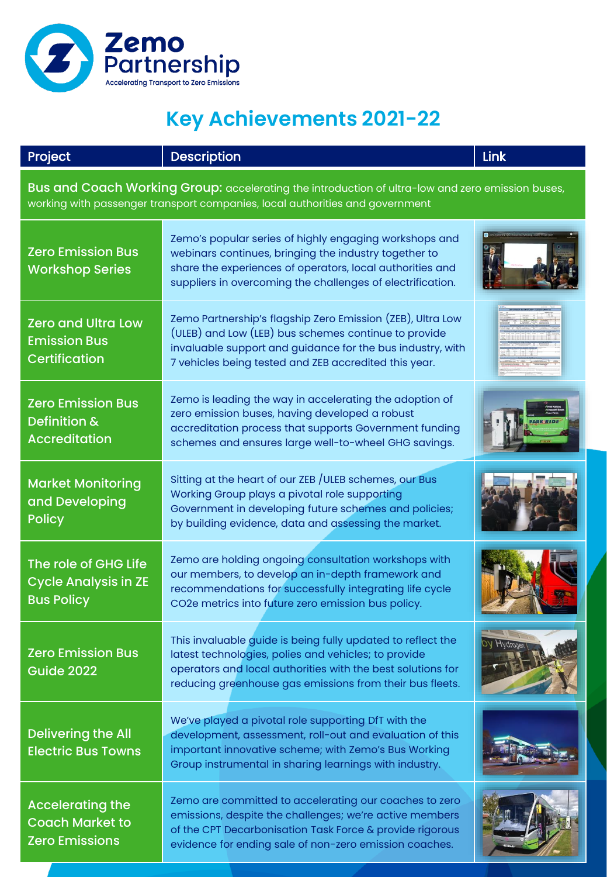

| Project                                                                                                                                                                          | <b>Description</b>                                                                                                                                                                                                                             | Link  |
|----------------------------------------------------------------------------------------------------------------------------------------------------------------------------------|------------------------------------------------------------------------------------------------------------------------------------------------------------------------------------------------------------------------------------------------|-------|
| Bus and Coach Working Group: accelerating the introduction of ultra-low and zero emission buses,<br>working with passenger transport companies, local authorities and government |                                                                                                                                                                                                                                                |       |
| <b>Zero Emission Bus</b><br><b>Workshop Series</b>                                                                                                                               | Zemo's popular series of highly engaging workshops and<br>webinars continues, bringing the industry together to<br>share the experiences of operators, local authorities and<br>suppliers in overcoming the challenges of electrification.     |       |
| <b>Zero and Ultra Low</b><br><b>Emission Bus</b><br><b>Certification</b>                                                                                                         | Zemo Partnership's flagship Zero Emission (ZEB), Ultra Low<br>(ULEB) and Low (LEB) bus schemes continue to provide<br>invaluable support and guidance for the bus industry, with<br>7 vehicles being tested and ZEB accredited this year.      |       |
| <b>Zero Emission Bus</b><br>Definition &<br><b>Accreditation</b>                                                                                                                 | Zemo is leading the way in accelerating the adoption of<br>zero emission buses, having developed a robust<br>accreditation process that supports Government funding<br>schemes and ensures large well-to-wheel GHG savings.                    |       |
| <b>Market Monitoring</b><br>and Developing<br><b>Policy</b>                                                                                                                      | Sitting at the heart of our ZEB / ULEB schemes, our Bus<br>Working Group plays a pivotal role supporting<br>Government in developing future schemes and policies;<br>by building evidence, data and assessing the market.                      |       |
| The role of GHG Life<br><b>Cycle Analysis in ZE</b><br><b>Bus Policy</b>                                                                                                         | Zemo are holding ongoing consultation workshops with<br>our members, to develop an in-depth framework and<br>recommendations for successfully integrating life cycle<br>CO2e metrics into future zero emission bus policy.                     |       |
| <b>Zero Emission Bus</b><br><b>Guide 2022</b>                                                                                                                                    | This invaluable guide is being fully updated to reflect the<br>latest technologies, polies and vehicles; to provide<br>operators and local authorities with the best solutions for<br>reducing greenhouse gas emissions from their bus fleets. | Нидіо |
| <b>Delivering the All</b><br><b>Electric Bus Towns</b>                                                                                                                           | We've played a pivotal role supporting DfT with the<br>development, assessment, roll-out and evaluation of this<br>important innovative scheme; with Zemo's Bus Working<br>Group instrumental in sharing learnings with industry.              |       |
| <b>Accelerating the</b><br><b>Coach Market to</b><br><b>Zero Emissions</b>                                                                                                       | Zemo are committed to accelerating our coaches to zero<br>emissions, despite the challenges; we're active members<br>of the CPT Decarbonisation Task Force & provide rigorous<br>evidence for ending sale of non-zero emission coaches.        |       |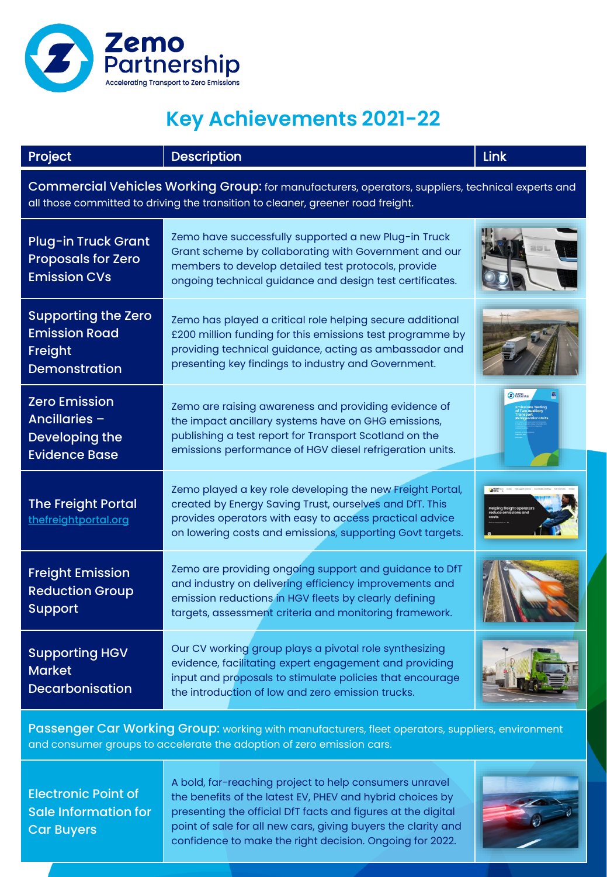

| Project                                                                                                                                                                              | <b>Description</b>                                                                                                                                                                                                                           | Link |
|--------------------------------------------------------------------------------------------------------------------------------------------------------------------------------------|----------------------------------------------------------------------------------------------------------------------------------------------------------------------------------------------------------------------------------------------|------|
| Commercial Vehicles Working Group: for manufacturers, operators, suppliers, technical experts and<br>all those committed to driving the transition to cleaner, greener road freight. |                                                                                                                                                                                                                                              |      |
| <b>Plug-in Truck Grant</b><br><b>Proposals for Zero</b><br><b>Emission CVs</b>                                                                                                       | Zemo have successfully supported a new Plug-in Truck<br>Grant scheme by collaborating with Government and our<br>members to develop detailed test protocols, provide<br>ongoing technical guidance and design test certificates.             |      |
| <b>Supporting the Zero</b><br><b>Emission Road</b><br>Freight<br><b>Demonstration</b>                                                                                                | Zemo has played a critical role helping secure additional<br>£200 million funding for this emissions test programme by<br>providing technical guidance, acting as ambassador and<br>presenting key findings to industry and Government.      |      |
| <b>Zero Emission</b><br>Ancillaries -<br>Developing the<br><b>Evidence Base</b>                                                                                                      | Zemo are raising awareness and providing evidence of<br>the impact ancillary systems have on GHG emissions,<br>publishing a test report for Transport Scotland on the<br>emissions performance of HGV diesel refrigeration units.            |      |
| <b>The Freight Portal</b><br>thefreightportal.org                                                                                                                                    | Zemo played a key role developing the new Freight Portal,<br>created by Energy Saving Trust, ourselves and DfT. This<br>provides operators with easy to access practical advice<br>on lowering costs and emissions, supporting Govt targets. |      |
| <b>Freight Emission</b><br><b>Reduction Group</b><br><b>Support</b>                                                                                                                  | Zemo are providing ongoing support and guidance to DfT<br>and industry on delivering efficiency improvements and<br>emission reductions in HGV fleets by clearly defining<br>targets, assessment criteria and monitoring framework.          |      |
| <b>Supporting HGV</b><br><b>Market</b><br>Decarbonisation                                                                                                                            | Our CV working group plays a pivotal role synthesizing<br>evidence, facilitating expert engagement and providing<br>input and proposals to stimulate policies that encourage<br>the introduction of low and zero emission trucks.            |      |

Passenger Car Working Group: working with manufacturers, fleet operators, suppliers, environment and consumer groups to accelerate the adoption of zero emission cars.

Electronic Point of Sale Information for Car Buyers

A bold, far-reaching project to help consumers unravel the benefits of the latest EV, PHEV and hybrid choices by presenting the official DfT facts and figures at the digital point of sale for all new cars, giving buyers the clarity and confidence to make the right decision. Ongoing for 2022.

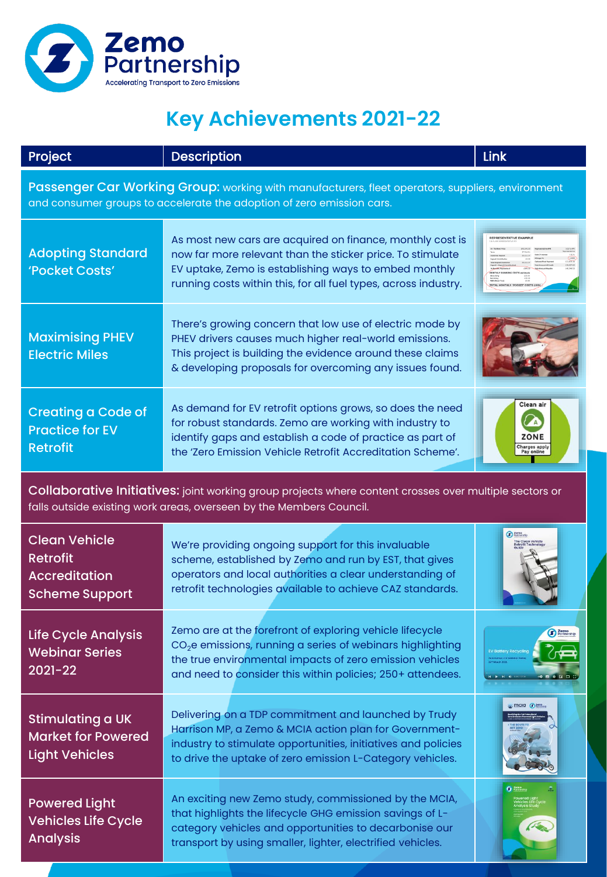

| Project                                                                                                                                                                       | <b>Description</b>                                                                                                                                                                                                                                           | Link                                             |
|-------------------------------------------------------------------------------------------------------------------------------------------------------------------------------|--------------------------------------------------------------------------------------------------------------------------------------------------------------------------------------------------------------------------------------------------------------|--------------------------------------------------|
| Passenger Car Working Group: working with manufacturers, fleet operators, suppliers, environment<br>and consumer groups to accelerate the adoption of zero emission cars.     |                                                                                                                                                                                                                                                              |                                                  |
| <b>Adopting Standard</b><br>'Pocket Costs'                                                                                                                                    | As most new cars are acquired on finance, monthly cost is<br>now far more relevant than the sticker price. To stimulate<br>EV uptake, Zemo is establishing ways to embed monthly<br>running costs within this, for all fuel types, across industry.          | REPRESENTATIVE EXAMPLI                           |
| <b>Maximising PHEV</b><br><b>Electric Miles</b>                                                                                                                               | There's growing concern that low use of electric mode by<br>PHEV drivers causes much higher real-world emissions.<br>This project is building the evidence around these claims<br>& developing proposals for overcoming any issues found.                    |                                                  |
| <b>Creating a Code of</b><br><b>Practice for EV</b><br><b>Retrofit</b>                                                                                                        | As demand for EV retrofit options grows, so does the need<br>for robust standards. Zemo are working with industry to<br>identify gaps and establish a code of practice as part of<br>the 'Zero Emission Vehicle Retrofit Accreditation Scheme'.              | Clean air<br>ZONE<br>Charges apply<br>Pay online |
| Collaborative Initiatives: joint working group projects where content crosses over multiple sectors or<br>falls outside existing work areas, overseen by the Members Council. |                                                                                                                                                                                                                                                              |                                                  |
| <b>Clean Vehicle</b><br><b>Retrofit</b><br><b>Accreditation</b><br><b>Scheme Support</b>                                                                                      | We're providing ongoing support for this invaluable<br>scheme, established by Zemo and run by EST, that gives<br>operators and local authorities a clear understanding of<br>retrofit technologies available to achieve CAZ standards.                       | <b>3</b> Fortnershi                              |
| <b>Life Cycle Analysis</b><br><b>Webinar Series</b><br>$2021 - 22$                                                                                                            | Zemo are at the forefront of exploring vehicle lifecycle<br>CO <sub>2</sub> e emissions, running a series of webinars highlighting<br>the true environmental impacts of zero emission vehicles<br>and need to consider this within policies; 250+ attendees. | 0.59.001                                         |
| Stimulating a UK<br><b>Market for Powered</b><br><b>Light Vehicles</b>                                                                                                        | Delivering on a TDP commitment and launched by Trudy<br>Harrison MP, a Zemo & MCIA action plan for Government-<br>industry to stimulate opportunities, initiatives and policies<br>to drive the uptake of zero emission L-Category vehicles.                 | mcia a lem                                       |
| <b>Powered Light</b><br><b>Vehicles Life Cycle</b><br><b>Analysis</b>                                                                                                         | An exciting new Zemo study, commissioned by the MCIA,<br>that highlights the lifecycle GHG emission savings of L-<br>category vehicles and opportunities to decarbonise our<br>transport by using smaller, lighter, electrified vehicles.                    |                                                  |